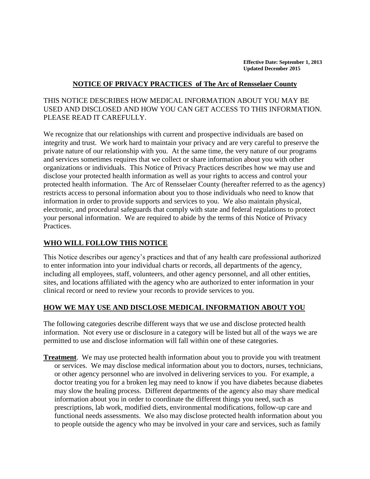**Effective Date: September 1, 2013 Updated December 2015**

#### **NOTICE OF PRIVACY PRACTICES of The Arc of Rensselaer County**

### THIS NOTICE DESCRIBES HOW MEDICAL INFORMATION ABOUT YOU MAY BE USED AND DISCLOSED AND HOW YOU CAN GET ACCESS TO THIS INFORMATION. PLEASE READ IT CAREFULLY.

We recognize that our relationships with current and prospective individuals are based on integrity and trust. We work hard to maintain your privacy and are very careful to preserve the private nature of our relationship with you. At the same time, the very nature of our programs and services sometimes requires that we collect or share information about you with other organizations or individuals. This Notice of Privacy Practices describes how we may use and disclose your protected health information as well as your rights to access and control your protected health information. The Arc of Rensselaer County (hereafter referred to as the agency) restricts access to personal information about you to those individuals who need to know that information in order to provide supports and services to you. We also maintain physical, electronic, and procedural safeguards that comply with state and federal regulations to protect your personal information. We are required to abide by the terms of this Notice of Privacy Practices.

#### **WHO WILL FOLLOW THIS NOTICE**

This Notice describes our agency's practices and that of any health care professional authorized to enter information into your individual charts or records, all departments of the agency, including all employees, staff, volunteers, and other agency personnel, and all other entities, sites, and locations affiliated with the agency who are authorized to enter information in your clinical record or need to review your records to provide services to you.

#### **HOW WE MAY USE AND DISCLOSE MEDICAL INFORMATION ABOUT YOU**

The following categories describe different ways that we use and disclose protected health information. Not every use or disclosure in a category will be listed but all of the ways we are permitted to use and disclose information will fall within one of these categories.

**Treatment**. We may use protected health information about you to provide you with treatment or services. We may disclose medical information about you to doctors, nurses, technicians, or other agency personnel who are involved in delivering services to you. For example, a doctor treating you for a broken leg may need to know if you have diabetes because diabetes may slow the healing process. Different departments of the agency also may share medical information about you in order to coordinate the different things you need, such as prescriptions, lab work, modified diets, environmental modifications, follow-up care and functional needs assessments. We also may disclose protected health information about you to people outside the agency who may be involved in your care and services, such as family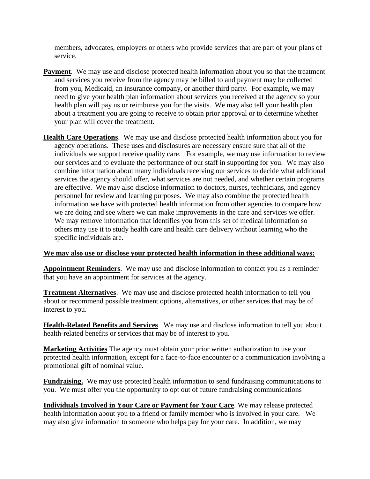members, advocates, employers or others who provide services that are part of your plans of service.

- **Payment**. We may use and disclose protected health information about you so that the treatment and services you receive from the agency may be billed to and payment may be collected from you, Medicaid, an insurance company, or another third party. For example, we may need to give your health plan information about services you received at the agency so your health plan will pay us or reimburse you for the visits. We may also tell your health plan about a treatment you are going to receive to obtain prior approval or to determine whether your plan will cover the treatment.
- **Health Care Operations**. We may use and disclose protected health information about you for agency operations. These uses and disclosures are necessary ensure sure that all of the individuals we support receive quality care. For example, we may use information to review our services and to evaluate the performance of our staff in supporting for you. We may also combine information about many individuals receiving our services to decide what additional services the agency should offer, what services are not needed, and whether certain programs are effective. We may also disclose information to doctors, nurses, technicians, and agency personnel for review and learning purposes. We may also combine the protected health information we have with protected health information from other agencies to compare how we are doing and see where we can make improvements in the care and services we offer. We may remove information that identifies you from this set of medical information so others may use it to study health care and health care delivery without learning who the specific individuals are.

#### **We may also use or disclose your protected health information in these additional ways:**

**Appointment Reminders**. We may use and disclose information to contact you as a reminder that you have an appointment for services at the agency.

**Treatment Alternatives**. We may use and disclose protected health information to tell you about or recommend possible treatment options, alternatives, or other services that may be of interest to you.

**Health-Related Benefits and Services**. We may use and disclose information to tell you about health-related benefits or services that may be of interest to you.

**Marketing Activities** The agency must obtain your prior written authorization to use your protected health information, except for a face-to-face encounter or a communication involving a promotional gift of nominal value.

**Fundraising.** We may use protected health information to send fundraising communications to you. We must offer you the opportunity to opt out of future fundraising communications

**Individuals Involved in Your Care or Payment for Your Care**. We may release protected health information about you to a friend or family member who is involved in your care. We may also give information to someone who helps pay for your care. In addition, we may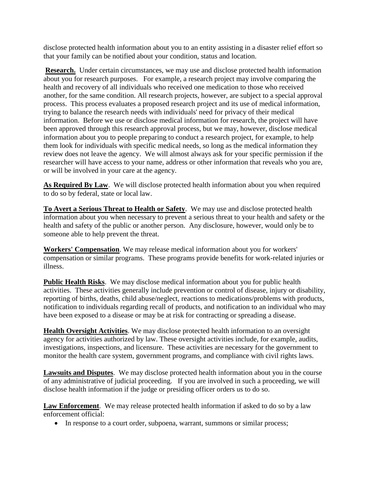disclose protected health information about you to an entity assisting in a disaster relief effort so that your family can be notified about your condition, status and location.

**Research.** Under certain circumstances, we may use and disclose protected health information about you for research purposes. For example, a research project may involve comparing the health and recovery of all individuals who received one medication to those who received another, for the same condition. All research projects, however, are subject to a special approval process. This process evaluates a proposed research project and its use of medical information, trying to balance the research needs with individuals' need for privacy of their medical information. Before we use or disclose medical information for research, the project will have been approved through this research approval process, but we may, however, disclose medical information about you to people preparing to conduct a research project, for example, to help them look for individuals with specific medical needs, so long as the medical information they review does not leave the agency. We will almost always ask for your specific permission if the researcher will have access to your name, address or other information that reveals who you are, or will be involved in your care at the agency.

As **Required By Law**. We will disclose protected health information about you when required to do so by federal, state or local law.

**To Avert a Serious Threat to Health or Safety**. We may use and disclose protected health information about you when necessary to prevent a serious threat to your health and safety or the health and safety of the public or another person. Any disclosure, however, would only be to someone able to help prevent the threat.

**Workers' Compensation**. We may release medical information about you for workers' compensation or similar programs. These programs provide benefits for work-related injuries or illness.

**Public Health Risks**. We may disclose medical information about you for public health activities. These activities generally include prevention or control of disease, injury or disability, reporting of births, deaths, child abuse/neglect, reactions to medications/problems with products, notification to individuals regarding recall of products, and notification to an individual who may have been exposed to a disease or may be at risk for contracting or spreading a disease.

**Health Oversight Activities**. We may disclose protected health information to an oversight agency for activities authorized by law. These oversight activities include, for example, audits, investigations, inspections, and licensure. These activities are necessary for the government to monitor the health care system, government programs, and compliance with civil rights laws.

**Lawsuits and Disputes**. We may disclose protected health information about you in the course of any administrative of judicial proceeding. If you are involved in such a proceeding, we will disclose health information if the judge or presiding officer orders us to do so.

**Law Enforcement**. We may release protected health information if asked to do so by a law enforcement official:

• In response to a court order, subpoena, warrant, summons or similar process;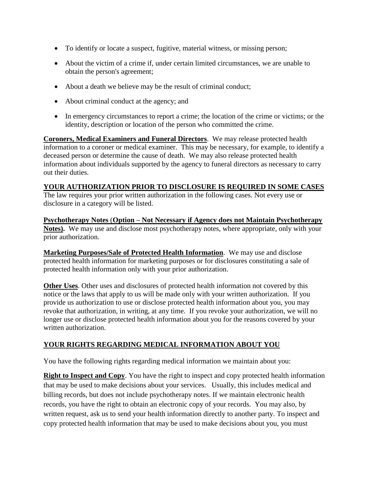- To identify or locate a suspect, fugitive, material witness, or missing person;
- About the victim of a crime if, under certain limited circumstances, we are unable to obtain the person's agreement;
- About a death we believe may be the result of criminal conduct;
- About criminal conduct at the agency; and
- In emergency circumstances to report a crime; the location of the crime or victims; or the identity, description or location of the person who committed the crime.

**Coroners, Medical Examiners and Funeral Directors**. We may release protected health information to a coroner or medical examiner. This may be necessary, for example, to identify a deceased person or determine the cause of death. We may also release protected health information about individuals supported by the agency to funeral directors as necessary to carry out their duties.

## **YOUR AUTHORIZATION PRIOR TO DISCLOSURE IS REQUIRED IN SOME CASES**

The law requires your prior written authorization in the following cases. Not every use or disclosure in a category will be listed.

**Psychotherapy Notes** (**Option – Not Necessary if Agency does not Maintain Psychotherapy Notes).** We may use and disclose most psychotherapy notes, where appropriate, only with your prior authorization.

**Marketing Purposes/Sale of Protected Health Information**. We may use and disclose protected health information for marketing purposes or for disclosures constituting a sale of protected health information only with your prior authorization.

**Other Uses**. Other uses and disclosures of protected health information not covered by this notice or the laws that apply to us will be made only with your written authorization. If you provide us authorization to use or disclose protected health information about you, you may revoke that authorization, in writing, at any time. If you revoke your authorization, we will no longer use or disclose protected health information about you for the reasons covered by your written authorization.

# **YOUR RIGHTS REGARDING MEDICAL INFORMATION ABOUT YOU**

You have the following rights regarding medical information we maintain about you:

**Right to Inspect and Copy**. You have the right to inspect and copy protected health information that may be used to make decisions about your services. Usually, this includes medical and billing records, but does not include psychotherapy notes. If we maintain electronic health records, you have the right to obtain an electronic copy of your records. You may also, by written request, ask us to send your health information directly to another party. To inspect and copy protected health information that may be used to make decisions about you, you must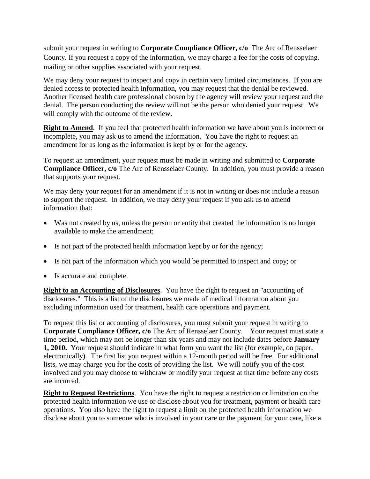submit your request in writing to **Corporate Compliance Officer, c/o** The Arc of Rensselaer County. If you request a copy of the information, we may charge a fee for the costs of copying, mailing or other supplies associated with your request.

We may deny your request to inspect and copy in certain very limited circumstances. If you are denied access to protected health information, you may request that the denial be reviewed. Another licensed health care professional chosen by the agency will review your request and the denial. The person conducting the review will not be the person who denied your request. We will comply with the outcome of the review.

**Right to Amend**. If you feel that protected health information we have about you is incorrect or incomplete, you may ask us to amend the information. You have the right to request an amendment for as long as the information is kept by or for the agency.

To request an amendment, your request must be made in writing and submitted to **Corporate Compliance Officer, c/o** The Arc of Rensselaer County. In addition, you must provide a reason that supports your request.

We may deny your request for an amendment if it is not in writing or does not include a reason to support the request. In addition, we may deny your request if you ask us to amend information that:

- Was not created by us, unless the person or entity that created the information is no longer available to make the amendment;
- Is not part of the protected health information kept by or for the agency;
- Is not part of the information which you would be permitted to inspect and copy; or
- Is accurate and complete.

**Right to an Accounting of Disclosures**. You have the right to request an "accounting of disclosures." This is a list of the disclosures we made of medical information about you excluding information used for treatment, health care operations and payment.

To request this list or accounting of disclosures, you must submit your request in writing to **Corporate Compliance Officer, c/o** The Arc of Rensselaer County. Your request must state a time period, which may not be longer than six years and may not include dates before **January 1, 2010.** Your request should indicate in what form you want the list (for example, on paper, electronically). The first list you request within a 12-month period will be free. For additional lists, we may charge you for the costs of providing the list. We will notify you of the cost involved and you may choose to withdraw or modify your request at that time before any costs are incurred.

**Right to Request Restrictions**. You have the right to request a restriction or limitation on the protected health information we use or disclose about you for treatment, payment or health care operations. You also have the right to request a limit on the protected health information we disclose about you to someone who is involved in your care or the payment for your care, like a